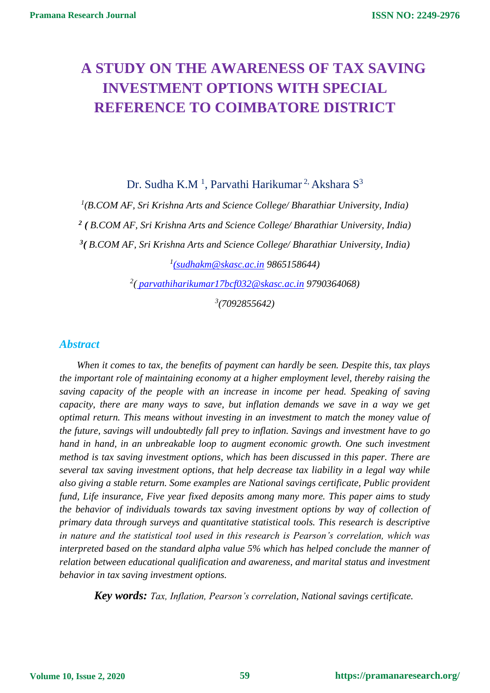# **A STUDY ON THE AWARENESS OF TAX SAVING INVESTMENT OPTIONS WITH SPECIAL REFERENCE TO COIMBATORE DISTRICT**

Dr. Sudha K.M<sup>1</sup>, Parvathi Harikumar<sup>2,</sup> Akshara S<sup>3</sup>

 *(B.COM AF, Sri Krishna Arts and Science College/ Bharathiar University, India) ( B.COM AF, Sri Krishna Arts and Science College/ Bharathiar University, India) ( B.COM AF, Sri Krishna Arts and Science College/ Bharathiar University, India) [\(sudhakm@skasc.ac.in](mailto:(sudhakm@skasc.ac.in) 9865158644)*

*2 ( [parvathiharikumar17bcf032@skasc.ac.in](mailto:(parvathiharikumar17bcf032@skasc.ac.in) 9790364068)*

*3 (7092855642)*

## *Abstract*

*When it comes to tax, the benefits of payment can hardly be seen. Despite this, tax plays the important role of maintaining economy at a higher employment level, thereby raising the saving capacity of the people with an increase in income per head. Speaking of saving capacity, there are many ways to save, but inflation demands we save in a way we get optimal return. This means without investing in an investment to match the money value of the future, savings will undoubtedly fall prey to inflation. Savings and investment have to go hand in hand, in an unbreakable loop to augment economic growth. One such investment method is tax saving investment options, which has been discussed in this paper. There are several tax saving investment options, that help decrease tax liability in a legal way while also giving a stable return. Some examples are National savings certificate, Public provident fund, Life insurance, Five year fixed deposits among many more. This paper aims to study the behavior of individuals towards tax saving investment options by way of collection of primary data through surveys and quantitative statistical tools. This research is descriptive in nature and the statistical tool used in this research is Pearson's correlation, which was interpreted based on the standard alpha value 5% which has helped conclude the manner of relation between educational qualification and awareness, and marital status and investment behavior in tax saving investment options.* 

*Key words: Tax, Inflation, Pearson's correlation, National savings certificate.*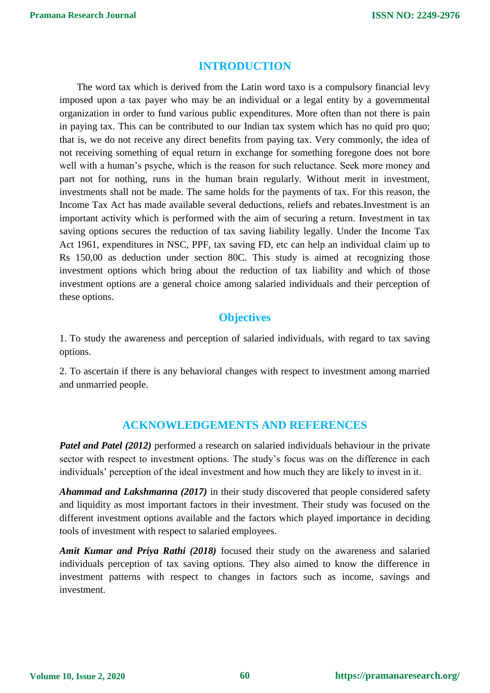## **INTRODUCTION**

The word tax which is derived from the Latin word taxo is a compulsory financial levy imposed upon a tax payer who may be an individual or a legal entity by a governmental organization in order to fund various public expenditures. More often than not there is pain in paying tax. This can be contributed to our Indian tax system which has no quid pro quo; that is, we do not receive any direct benefits from paying tax. Very commonly, the idea of not receiving something of equal return in exchange for something foregone does not bore well with a human's psyche, which is the reason for such reluctance. Seek more money and part not for nothing, runs in the human brain regularly. Without merit in investment, investments shall not be made. The same holds for the payments of tax. For this reason, the Income Tax Act has made available several deductions, reliefs and rebates.Investment is an important activity which is performed with the aim of securing a return. Investment in tax saving options secures the reduction of tax saving liability legally. Under the Income Tax Act 1961, expenditures in NSC, PPF, tax saving FD, etc can help an individual claim up to Rs 150,00 as deduction under section 80C. This study is aimed at recognizing those investment options which bring about the reduction of tax liability and which of those investment options are a general choice among salaried individuals and their perception of these options.

# **Objectives**

1. To study the awareness and perception of salaried individuals, with regard to tax saving options.

2. To ascertain if there is any behavioral changes with respect to investment among married and unmarried people.

# **ACKNOWLEDGEMENTS AND REFERENCES**

*Patel and Patel (2012)* performed a research on salaried individuals behaviour in the private sector with respect to investment options. The study's focus was on the difference in each individuals' perception of the ideal investment and how much they are likely to invest in it.

*Ahammad and Lakshmanna (2017)* in their study discovered that people considered safety and liquidity as most important factors in their investment. Their study was focused on the different investment options available and the factors which played importance in deciding tools of investment with respect to salaried employees.

*Amit Kumar and Priya Rathi (2018)* focused their study on the awareness and salaried individuals perception of tax saving options. They also aimed to know the difference in investment patterns with respect to changes in factors such as income, savings and investment.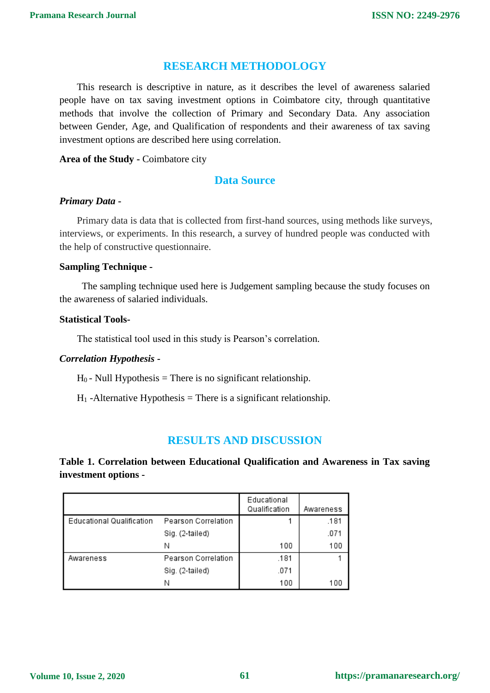## **RESEARCH METHODOLOGY**

This research is descriptive in nature, as it describes the level of awareness salaried people have on tax saving investment options in Coimbatore city, through quantitative methods that involve the collection of Primary and Secondary Data. Any association between Gender, Age, and Qualification of respondents and their awareness of tax saving investment options are described here using correlation.

#### **Area of the Study -** Coimbatore city

## **Data Source**

#### *Primary Data* **-**

Primary data is data that is collected from first-hand sources, using methods like surveys, interviews, or experiments. In this research, a survey of hundred people was conducted with the help of constructive questionnaire.

#### **Sampling Technique -**

The sampling technique used here is Judgement sampling because the study focuses on the awareness of salaried individuals.

#### **Statistical Tools-**

The statistical tool used in this study is Pearson's correlation.

## *Correlation Hypothesis -*

 $H_0$  - Null Hypothesis = There is no significant relationship.

 $H_1$ -Alternative Hypothesis = There is a significant relationship.

# **RESULTS AND DISCUSSION**

**Table 1. Correlation between Educational Qualification and Awareness in Tax saving investment options -**

|                           |                     | Educational<br>Qualification | Awareness |
|---------------------------|---------------------|------------------------------|-----------|
| Educational Qualification | Pearson Correlation |                              | .181      |
|                           | Sig. (2-tailed)     |                              | .071      |
|                           | Ν                   | 100                          | 100       |
| Awareness                 | Pearson Correlation | .181                         |           |
|                           | Sig. (2-tailed)     | .071                         |           |
|                           | Ν                   | 100                          | 100       |